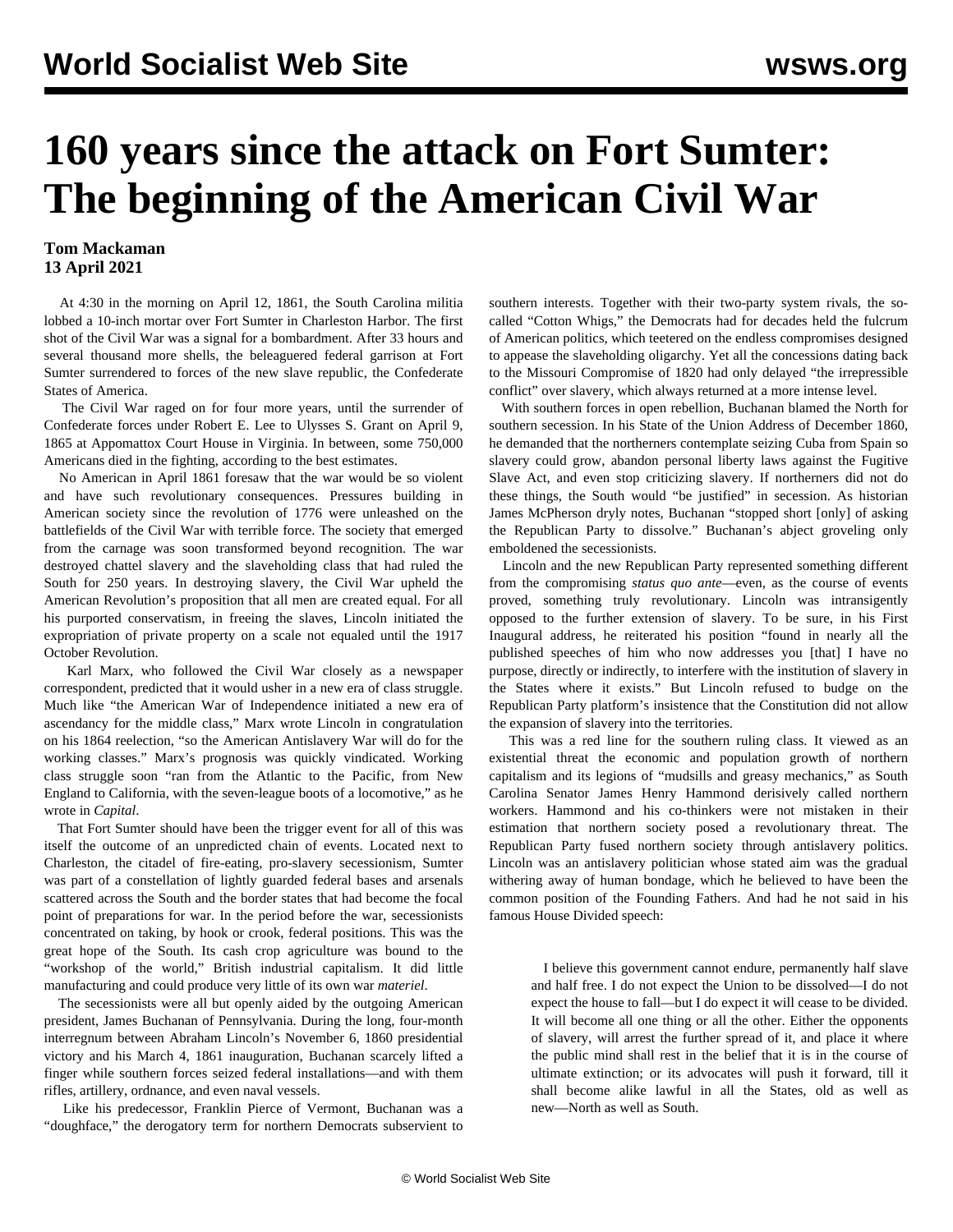## **160 years since the attack on Fort Sumter: The beginning of the American Civil War**

## **Tom Mackaman 13 April 2021**

 At 4:30 in the morning on April 12, 1861, the South Carolina militia lobbed a 10-inch mortar over Fort Sumter in Charleston Harbor. The first shot of the Civil War was a signal for a bombardment. After 33 hours and several thousand more shells, the beleaguered federal garrison at Fort Sumter surrendered to forces of the new slave republic, the Confederate States of America.

 The Civil War raged on for four more years, until the surrender of Confederate forces under Robert E. Lee to Ulysses S. Grant on April 9, 1865 at Appomattox Court House in Virginia. In between, some 750,000 Americans died in the fighting, according to the best estimates.

 No American in April 1861 foresaw that the war would be so violent and have such revolutionary consequences. Pressures building in American society since the revolution of 1776 were unleashed on the battlefields of the Civil War with terrible force. The society that emerged from the carnage was soon transformed beyond recognition. The war destroyed chattel slavery and the slaveholding class that had ruled the South for 250 years. In destroying slavery, the Civil War upheld the American Revolution's proposition that all men are created equal. For all his purported conservatism, in freeing the slaves, Lincoln initiated the expropriation of private property on a scale not equaled until the 1917 October Revolution.

 Karl Marx, who followed the Civil War closely as a newspaper correspondent, predicted that it would usher in a new era of class struggle. Much like "the American War of Independence initiated a new era of ascendancy for the middle class," Marx wrote Lincoln in congratulation on his 1864 reelection, "so the American Antislavery War will do for the working classes." Marx's prognosis was quickly vindicated. Working class struggle soon "ran from the Atlantic to the Pacific, from New England to California, with the seven-league boots of a locomotive," as he wrote in *Capital*.

 That Fort Sumter should have been the trigger event for all of this was itself the outcome of an unpredicted chain of events. Located next to Charleston, the citadel of fire-eating, pro-slavery secessionism, Sumter was part of a constellation of lightly guarded federal bases and arsenals scattered across the South and the border states that had become the focal point of preparations for war. In the period before the war, secessionists concentrated on taking, by hook or crook, federal positions. This was the great hope of the South. Its cash crop agriculture was bound to the "workshop of the world," British industrial capitalism. It did little manufacturing and could produce very little of its own war *materiel*.

 The secessionists were all but openly aided by the outgoing American president, James Buchanan of Pennsylvania. During the long, four-month interregnum between Abraham Lincoln's November 6, 1860 presidential victory and his March 4, 1861 inauguration, Buchanan scarcely lifted a finger while southern forces seized federal installations—and with them rifles, artillery, ordnance, and even naval vessels.

 Like his predecessor, Franklin Pierce of Vermont, Buchanan was a "doughface," the derogatory term for northern Democrats subservient to

southern interests. Together with their two-party system rivals, the socalled "Cotton Whigs," the Democrats had for decades held the fulcrum of American politics, which teetered on the endless compromises designed to appease the slaveholding oligarchy. Yet all the concessions dating back to the Missouri Compromise of 1820 had only delayed "the irrepressible conflict" over slavery, which always returned at a more intense level.

 With southern forces in open rebellion, Buchanan blamed the North for southern secession. In his State of the Union Address of December 1860, he demanded that the northerners contemplate seizing Cuba from Spain so slavery could grow, abandon personal liberty laws against the Fugitive Slave Act, and even stop criticizing slavery. If northerners did not do these things, the South would "be justified" in secession. As historian James McPherson dryly notes, Buchanan "stopped short [only] of asking the Republican Party to dissolve." Buchanan's abject groveling only emboldened the secessionists.

 Lincoln and the new Republican Party represented something different from the compromising *status quo ante*—even, as the course of events proved, something truly revolutionary. Lincoln was intransigently opposed to the further extension of slavery. To be sure, in his First Inaugural address, he reiterated his position "found in nearly all the published speeches of him who now addresses you [that] I have no purpose, directly or indirectly, to interfere with the institution of slavery in the States where it exists." But Lincoln refused to budge on the Republican Party platform's insistence that the Constitution did not allow the expansion of slavery into the territories.

 This was a red line for the southern ruling class. It viewed as an existential threat the economic and population growth of northern capitalism and its legions of "mudsills and greasy mechanics," as South Carolina Senator James Henry Hammond derisively called northern workers. Hammond and his co-thinkers were not mistaken in their estimation that northern society posed a revolutionary threat. The Republican Party fused northern society through antislavery politics. Lincoln was an antislavery politician whose stated aim was the gradual withering away of human bondage, which he believed to have been the common position of the Founding Fathers. And had he not said in his famous House Divided speech:

 I believe this government cannot endure, permanently half slave and half free. I do not expect the Union to be dissolved—I do not expect the house to fall—but I do expect it will cease to be divided. It will become all one thing or all the other. Either the opponents of slavery, will arrest the further spread of it, and place it where the public mind shall rest in the belief that it is in the course of ultimate extinction; or its advocates will push it forward, till it shall become alike lawful in all the States, old as well as new—North as well as South.